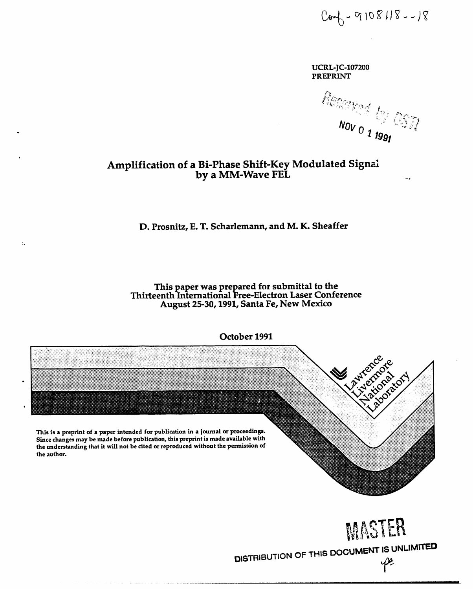$Com_0 - 9108118 - -18$ 

**UCRL-JC-107200 PREPRINT** 

 $\frac{\partial \mathcal{L}_{\text{Weyl}}}{\partial \mathcal{L}_{\text{V}}\mathcal{L}_{\text{V}}}\mathcal{L}_{\text{V}}$ 

# Amplification of a Bi-Phase Shift-Key Modulated Signal by a MM-Wave FEL

# D. Prosnitz, E. T. Scharlemann, and M. K. Sheaffer

 $\ddot{\ddot{}}$  .

This paper was prepared for submittal to the Thirteenth International Free-Electron Laser Conference August 25-30, 1991, Santa Fe, New Mexico





DISTRIBUTION OF THIS DOCUMENT IS UNLIMITED pe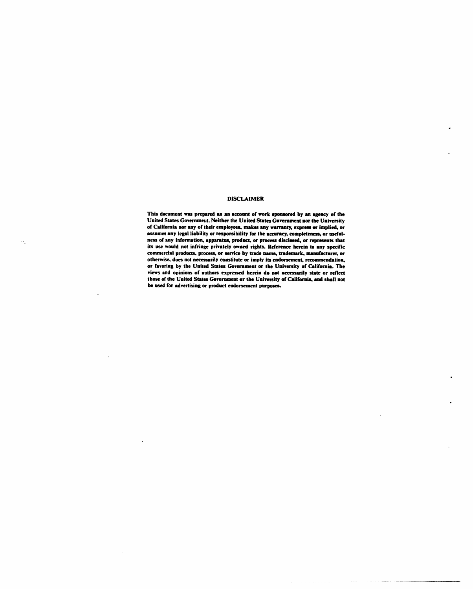### **DIS***C***LAIMER**

**This document was prepured as sn sc**co**unt of work sponsored by sn Jtgency of the United S**ta**tes Goverumeut.** N**e**i**t**h**e**r **the United S**ta**tes Government nor the University of California nor any of their employees,** ra**kes 8ny wsrruu**ty**, express or implied,** or L\_**sumes any leg**a**l l**ia**bility or responsibili**ty **for the 8ccurncy, completeness,** or **useful- .. he***s***s of** i**ny information, aplmrnt**as**, product,** or **process disclosed, or represents that i**ts **use would not infringe priv**a**tely owned fi**g**hts. Reference herein to any specific comm**e**rci**a**l products, process, or service by trade name, trademark, nu**m**uf**\_**turero** or **otherwise**, **does not necessarily constitute or im**pl**y its endorsement, recommendation***,* **or fa**v**oring by the Unit**ed **States Government or the Universi**ty **of CsdJfornht.The views and opinio**ns **of authors expressed herein do not necessarily s**ta**te or** re**flect those of the Unit**ed **States** Go**vernment or the Universi**ty **of Cadifo**m**i**n\* **and shall not** he **used f**or **advertising** or **product endorsement purposes.**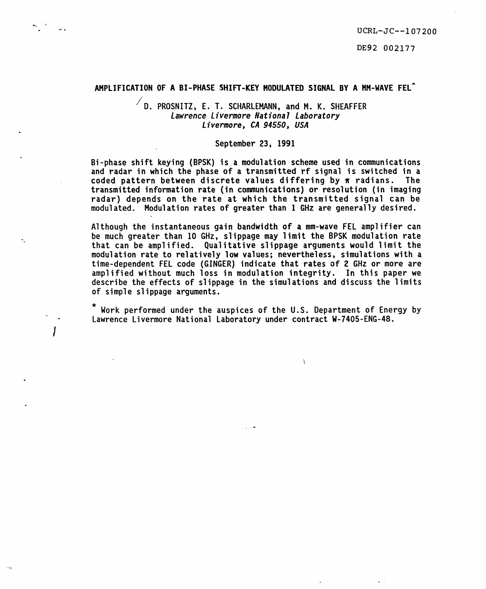DE92 002177

# **A**M**PL**I**F**I**CAT**I**ONOF A BI-PHASE SHIFT-KEY NODULA**T**EDSIGNALBY A HM-**W**AVEFEL"**

# / **D. P**R**OSNITZ, E. T. SCH**AR**LEHANN, and M. K. SHE**A**FFE**R Lawrence Livermore National Laboratory Livermore**,** CA94550**,** USA

# **Sep**t**e**m**be**r **23**, **1991**

**B**i**-phase sh**if**t ke**yi**ng (BPSK**) i**s a** m**odu**l**at**i**on scheme used** i**n co**mm**un**i**ca**ti**ons and** r**ada**r i**n wh**i**ch** t**he phase o**f **a** tr**ans**mitt**ed** rf **s**i**gnal** i**s sw**i**tched** i**n a coded pattern between d**i**sc**r**e**t**e va**l**ues d**iff**e**ri**ng b**y \_ r**ad**i**ans**. **The t**r**ans**mitt**ed** i**n**f**o**r**ma**ti**on** r**a**t**e (**i**n commun**i**cat**i**ons) or** r**eso**l**ut**i**on (in** i**mag**i**ng** r**ada**r) **depends on** t**he rate a**t **wh**i**ch** t**he** tr**ans**mi**tted s**i**gnal can be modulated. Modu**l**a**ti**on** r**a**te**s o**f **g**r**ea**t**er than 1 GHz a**r**e gene**r**al**ly **d**e**s**ir**ed.**

**Although** t**he** i**ns**t**an**ta**neous ga**i**n band**wi**dth o**f **a mm-waveFEL amp**]i**f**i**e**r **can b**e **much g**r**eate**r **than 10 GHz, s**li**ppage** m**a**y li**m**i**t** t**he BPSK**m**odulat**i**on** r**a**t**e that can be a**m**pl**ifi**ed. Qua**li**ta**ti**ve s**li**ppage a**r**gumen**t**s** w**ou**l**d** limit **the** m**odu**l**a**ti**on** r**ate** t**o** r**e**l**a**ti**ve**ly l**ow va**l**ues; neverthe**l**ess, s**im**u**l**a**ti**ons w**it**h a** tim**e-d**e**penden**t **FEL code (G**I**NGER)** i**nd**i**ca**t**e that rates o**f **2 GHz o**r m**o**r**e** ar**e a**m**pl**ifi**ed w**i**thou**t **much loss** i**n** m**odu**l**a**ti**on** i**n**t**eg**ri**t**y. **In** t**h**i**s pape**r **we d**e**sc**ri**be** t**h**e **effects o**f **s**li**ppage** i**n** t**he s**im**ula**ti**ons and d**i**scuss the l**imi**ts o**f **s**im**ple s**li**ppage a**r**gu**m**ents**.

W**o**rk **p**er**fo**rm**ed under** t**he ausp**i**ces of t**h**e U.**S**. D**e**pa**rtm**en**t **o**f **En**er**g**y **b**y **" - Law**r**enc**e **L**i**ve**rm**o**r**e Nat**i**onal L**a**borato**ry **under con**tr**ac**t W**-7405-ENG-48**.

/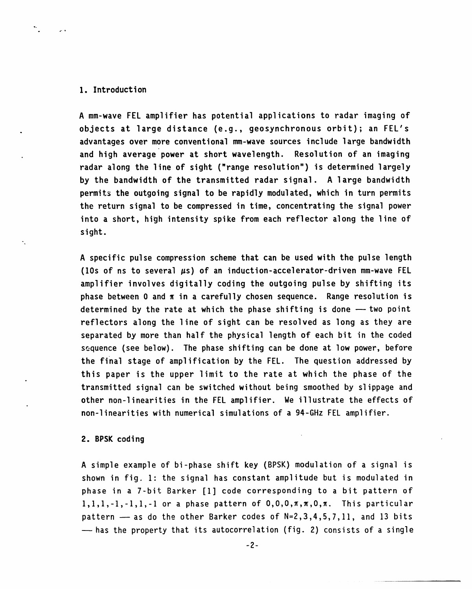# I. **I**ntrod**u**cti**o**n

=

A mm-w**a**ve FEL amplifier has potential applications to radar imaging of . objects at large distance (e.g., geosynchronous orbit); an FEL's advantages over more conventional mm-wave sources include large bandwidth and high average power at short wavelength. Resolution of an imaging radar along the line of sight ("range resolution") is determined largely by the bandwidth of the transmitted radar signal. A large bandwidth permit\_ the **o**utgoing signal to be rapidly modulated, which in turn permits the return signal to be compressed in time, concentrating the signal power into a short, high intensity spike from each reflector along the line of sight.

A specific pulse compression scheme that can be used with the pulse length (10s of ns to several  $\mu$ s) of an induction-accelerator-driven mm-wave FEL amplifier involves digitally coding the outgoing pulse by shifting its phase between 0 and  $\pi$  in a carefully chosen sequence. Range resolution is determined by the rate at which the phase shifting is done  $-$  two point reflectors along the line of sight can be resolved as long as they are separated by more than half the physical length of each bit in the coded sequence (see below). The phase shifting can be done at low power, before the final stage of amplification by the FEL. The question addressed by this paper is the upper limit to the rate at which the phase of the transmitted signal can be switched without being smoothed by slippage and other non-linearities in the FEL amplifier. We illustrate the effects of non-linearitieswith numerical simulationsof a 94-GHz FEL amplifier.

## **2**. B**PSK** c**o**di**ng**

A simple example of bi-phase shift key (BPSK) modulation of a signal is shown in fig. 1: the signal has constant amplitude but is modulated in phase in a 7-bit Barker **[**I**]** code corresponding to a bit pattern of  $1,1,1,-1,-1,1,-1$  or a phase pattern of  $0,0,0,\pi,\pi,0,\pi$ . This particular pattern  $-$  as do the other Barker codes of  $N=2,3,4,5,7,11$ , and 13 bits  $-$  has the property that its autocorrelation (fig. 2) consists of a single

-2-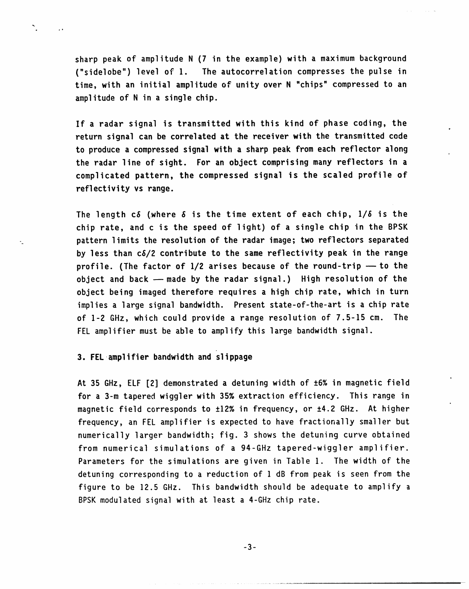s**ha**rp peak **o**f **am**plitude **N (7** i**n** t**he e**x**am**pl**e)** with **a ma**ximum **ba**ckgr**o**und ("sidelobe") level of I. The autocorrelation compresses the pulse in time, with an initial amplitude of unity **o**ver **N** "chips" compressed to an amplitude of N in a single chip.

If **a** r**a**d**a**r signal is transmitted with this kind of phase coding, the return signal can be c**o**rrel**a**ted at the receiver with the transmitted c**o**de to produce a compressed signal with a sharp peak from each reflector along the radar line of sight. F**o**r an **o**bject c**o**mprising many reflect**o**rs i**n** a c**o**mplicated patter**n**, the c**o**mpressed signal is the scaled pr**o**file **o**f reflectivity vs range.

**The** l**e**ngth c6 **(.**wh**e**re6 is the time extent of each chip, I/6 is the chip rate, and c is the speed of light) of a single chip in the BPSK -\_ pattern limits the res**o**luti**ono**f the radar image; two reflectors separated by less than c6/2 c**on**trib**u**te t**o** the same reflectivity peak in the range profile. (The factor of 1/2 arises because of the round-trip - to the object and back -- made by the radar signal.) High resolution of the object being imaged therefore requires a high chip rate, which in turn implies a large signal bandwidth. Present state-of-the-art is a chip rate of 1-2 GHz, which could provide a range resolution of 7.5-15 cm. The FEL amplifier must be able to amplify this large bandwidth signal.

# **3**. FEL **a**mplifier bandwi**d**than**d** Slippage

 $\sum_{i=1}^{n}$ 

 $\Box$ 

At 35 GHz, ELF [2] demonstrated a detuning width of ±6% in magnetic field for a 3-m tapered wiggler with 35% extraction efficiency. This range in magnetic field corresponds to ±12% in frequency, or ±4.2 GHz. At higher frequency, an FEL amplifier is expected to have fractionally smaller but numerically larger bandwidth; fig. 3 shows the detuning curve obtained from numerical simulations of a 94-GHz tapered-wiggler amplifier. Parameters for the simulations are given in Table I. The width of the detuning corresponding to a reduction of I dB from peak is seen from the figure to be 12.5 GHz. This bandwidth should be adequate to amplify a BPSK modulated signal with at least a 4-GHz chip rate.

-3-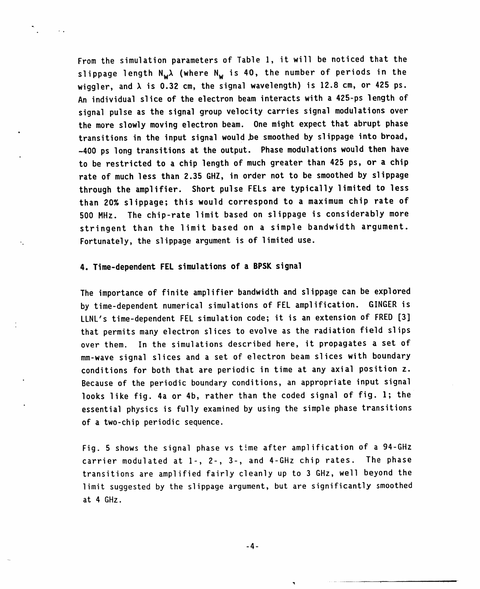From t**h**e **s**im**u**l**a**ti**o**n p**a**r**a**meter**s** of T**a**ble I**,** it will be noticed t**ha**t the slippage length  $N_w\lambda$  (where  $N_w$  is 40, the number of periods in the wiggler, and  $\lambda$  is 0.32 cm, the signal wavelength) is 12.8 cm, or 425 ps. An individual slice of the electron beam interacts with a 425-ps length of signal pulse as the signal group velocity carries signal modulations over the more slowly moving electron beam. One might expect that abrupt phase transitions in the input signal would .besmo**o**thed by slippage int**o** broad, -400 ps long transiti**o**nsat the **ou**tput. Phase modulationswould the**n** have to be restricted to a chip length of much greater than 425 ps, or a chip rate of much less than 2.35 GHZ, in order not to be smoothed by slippage through the amplifier. Sh**o**rt p**u**lse FELs are typically limited to less than 20% slippage; this would correspond to a maximum chip rate of 500 MHz. The chip-rate limit based on slippage is considerably more stringent than the limit based on a simple bandwidth argument. Fortunately, the slippage argument is of limited use.

# **4. T**i**me**-**depe**n**den**t**FEL** sim**ul**ati**o**n**so**f **a BPSK s**i**gnal**

!

The importan**c**e **o**f finite **a**mplifier**ba**n**d**widt**h** and slippage can be explored by time-dependent numerical simulations of FEL amplification. GINGER is LLNL's time-dependent FEL simulation code; it is an extension of FRED [3**]** that permits many electron slices to evolve as the radiation field slips over them. In the simulations described here, it propagates a set of mm-wave signal slices and a set of electron beam slices with boundary conditions for both that are periodic in time at any axial position z. Because of the periodic boundary conditions, an appropriate input signal looks like fig. 4a or 4b, rather than the coded signal of fig. I; the essential physics is fully examined by using the simple phase transitions of a two-chip periodic sequence.

Fig. 5 shows the signal phase vs time after amplification of a 94-GHz carrier modulated at  $1-$ ,  $2-$ ,  $3-$ , and  $4-GHz$  chip rates. The phase transitions are amplified fairly cleanly up to 3 GHz, well beyond the limit suggested by the slippage argument, but are significantly smoothed at 4 GHz.

 $-4-$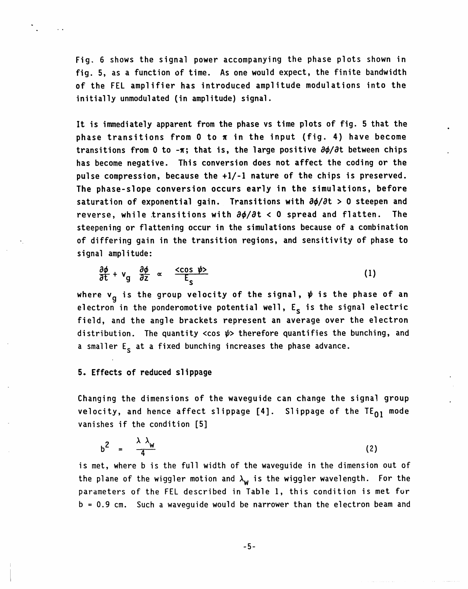**F**ig. 6 sh**o**ws t**h**e sign**a**l p**o**wer **a**cc**o**mpanying the p**h**a**s**e plots **s**hown in fig. 5, as a function of time. As one would expect, the finite bandwidth of the FEL amplifier has introduced amplitude modulations into the initially unmodulated (in amplitude) signal.

lt i**s** immediatelyapparent from the phase vs time plots of fig. 5 that the phase transitions fr**o**m 0 t**o** \_ in the input (fig. 4) have become transitions from 0 to -x; that is, the large positive  $\partial \phi / \partial t$  between chips has become negative. This conversi**o**n d**o**es n**o**t affect the coding **o**r the pulse compressi**o**n, because the +I/-I n**a**ture of the chips is preserved. The phase-sl**o**pe conversi**on o**cc**u**rs early in t**h**e **s**im**u**latio**n**s, bef**o**re saturation of exponential gain. Transitions with  $\partial \phi / \partial t > 0$  steepen and reverse, while transitions with  $\partial \phi / \partial t < 0$  spread and flatten. The steepening or flattening occur in the simulations because of a combination **o**f differing gain in the transition regions, and sensitivity of phase to signal amplitude:

$$
\frac{\partial \phi}{\partial t} + v_g \frac{\partial \phi}{\partial z} \propto \frac{\langle \cos \psi \rangle}{E_s}
$$
 (1)

where v<sub>q</sub> is the group velocity of the signal,  $\psi$  is the phase of an electron in the ponderomotive potential well,  $E_{s}$  is the signal electric field, and the angle brackets represent an average over the electron distribution. The quantity <cos  $\psi$ > therefore quantifies the bunching, and a smaller  $E<sub>s</sub>$  at a fixed bunching increases the phase advance.

# 5. Effects **o**f reduce**d** s**l**ippage

**i**

C**ha**ngi**n**g the di**m**ensi**o**ns **o**f t**h**e w**a**veguide can change the signal group velocity, and hence affect slippage  $[4]$ . Slippage of the TE $_{01}$  mode vanishes if the condition [5]

$$
b^2 = \frac{\lambda \lambda_w}{4} \tag{2}
$$

is met, where b is the full width of the waveguide in the dimension out of the plane of the wiggler motion and  $\lambda_w$  is the wiggler wavelength. For the parameters of the FEL described in Table I, this condition is met fur b = 0.9 cm. Such a waveguide would be narrower than the electron beam and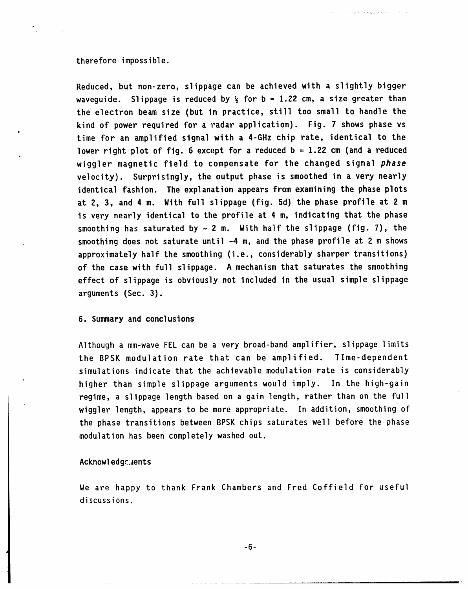### therefore impossible.

R**e**du**ced**, but n**on-ze**r**o**, slipp**a**ge c**a**n be **a**c**h**ieve**d** with a slightly bigger waveguide. Slippage is reduced by  $\frac{1}{2}$  for b = 1.22 cm, a size greater than the electron beam size (but in practice, still too small to handle the kind of power required f**o**r a radar application). Fig. 7 shows phase vs time for an amplified signal with a 4-GHz chip rate, identical to the lower right plot of fig. 6 except for a reduced  $b = 1.22$  cm (and a reduced wiggler magnetic field to compensate for the changed signal ph**a**se velocity). Surprisingly, the output phase is smoothed in a very nearly identical fashio**n**. The explanatio**n**appears fr**o**m examining the phase pl**o**ts at 2, **3**, and 4 m. With f**u**ll slippage (fig. Sd) the phase pr**o**file at 2 m is very nearly identical to the profile at 4 m, indicating that the phase smoothing has saturated by  $\sim$  2 m. With half the slippage (fig. 7), the smoothing does not saturate until -4 m, and the phase profile at 2 m shows approximatelyhalf the smoothing (i.e., considerably sharper transitions) of the case with full slippage. A mechanism that saturates the smoothing effect of slippage is obviously not included in the **u**sual simple slippage arguments (Sec. 3).

 $\alpha$  , we can also be a set of a sequence of the set of the second control of  $\alpha$ 

# **6**. **S**umm**a**ry **and co**n**clus**i**o**ns

Although a mm-wave FEL can be a very broad-band amplifier, slippage limits the BPSK modulation rate that can be amplified. Time-dependent simulations indicate that the achievable modulation rate is considerably • higher than simple slippage arguments would imply. I**n** the high-gain regime, a slippage length based on a gain length, rather than on the full wiggler length, appears to be more appropriate. In addition, smoothing of the phase transitions between BPSK chips saturates well before the phase modulation has been completely washed out.

# **Ac**kn**o**w**l**ed**g**e:**,**l**ens**t

We are happy to thank Frank Chambers and Fred Coffield for useful discussions.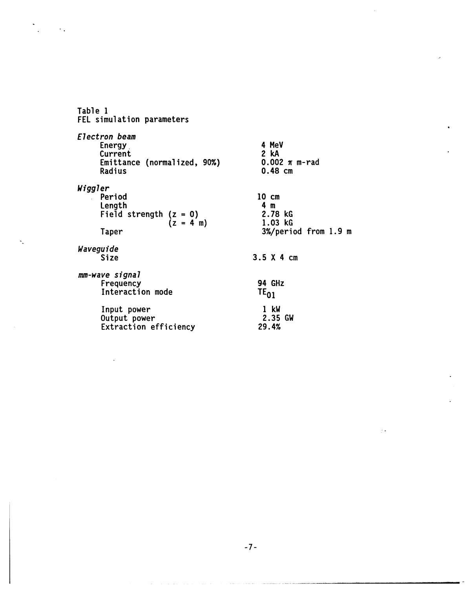**Ta**bl**e** I **F**EL sim**u**l**a**ti**on pa**r**a**m**e**ters

 $\sim$   $\sim$ 

۰.

Electron beam Energy 4 MeV C**u**rrent 2 kA Emittance (normalized, 90%) 0.002  $\pi$  m-rad<br>Radius 0.48 cm  $0.48$  cm Wiggl**e**r Period 10 cm<br>
Length 4 m  $\bar{z}$ **Leng**th 4 m **F**i**e**ld **s**tr**eng**th **(z** = **O)** 2**.78** kG  $(z = 4 \text{ m})$  1.03 kG Taper Taper 1.9 m W**a**veguide 3.5 X 4 cm mm-w**a**ve sign**a**l Frequency 94 GHz<br>Interaction mode 50 TE<sub>O1</sub> Interaction mode Input power I kW Output power 2.35 GW Extraction efficiency 29.4%

 $\bullet$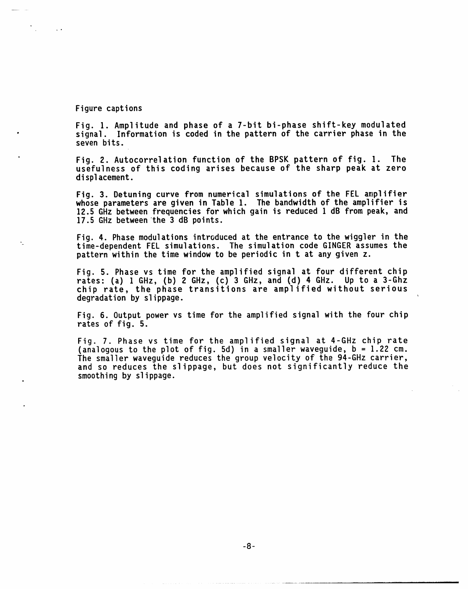### Figure capti**o**ns

 $\sim 10$ 

Fig. I. Amplitude and phase of a **7**-bit bi-phase shift-key modulated signal. Information is coded in the pattern of the carrier phase in the seven bits.

• Fig. 2. Autocorrelation function of the BPSK pattern of fig. I. The usefulness of this coding arises because of the sharp peak at zero displacement.

Fig. 3. Detuning curve fr**o**m numerical sim**u**lati**o**ns **o**f the FEL amplifier whose parameters are given in Table I. The bandwidth of the amplifier is 12.5 GH**z** between frequenciesfor which gain is reduced I dB from peak, and 17.5 GHz between the 3 dB points.

Fig. 4. Phase modulations introduced at the entrance to the wiggler in the - time-dependent FEL sim**u**lations. T**h**e sim**u**l**a**ti**o**n code GINGER assumes the pattern within the time window to be periodic in t at any given z.

Fig. 5. Phase vs time for the amplified signal at four different chip rates- (a) I GHz**, (b)** 2 GH**z, (**c**) 3** GH**z**, and (d) 4 GHz. Up to a 3-Ghz chip rate, the phase transitions are amplified without serious degradation by slippage.

Fig. 6. Output power vs time for the amplified signal with the four chip rates of fig. 5.

Fig. 7. Phase vs time for the amplified signal at 4-GHz chip rate (analogous to the plot of fig. 5d) in a smaller waveguide,  $D = 1.22$  cm. The smaller waveguide reduces the group velocity of the 94-GHz carrier, and so reduces the slippage, but does not significantly reduce the smoothing by slippage.

-8-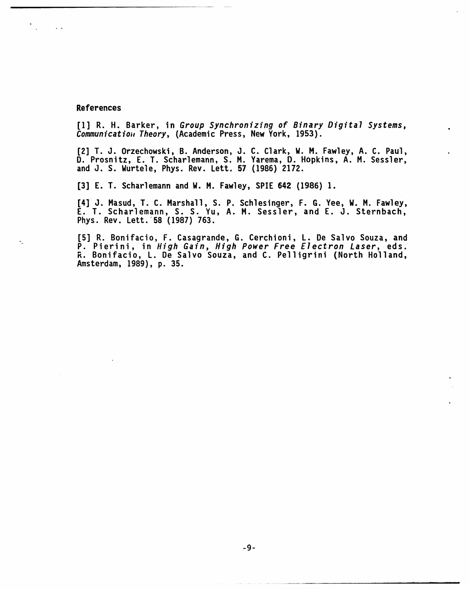## **References**

 $\sim$   $\sim$ 

**[1] R. H. Barker,** i**n** G**r**oup Synchroni**z**ing of Bina**r**y Digital Systems, Communication1 Theo**r**y**, (Academ**i**c Press**, **Ne**w **Yo**r**k, 1953).**

**[2] T. J. O**r**ze**c**ho**w**sk**i, **B. Ande**r**son, J. C. C**l**a**r**k**, W. **H. Fa**w**ley**, **A. C. Paul**, **D. P**r**osn**i**tz**, **E. T. Scha**r**lemann**, **S. PI. Ya**r**ema**, **D. Hopk**in**s**, **A. Pl.** S**essler, and J.** S**.** W**u**r**tele**, **Phys. Rev. Lett. 57 (1986) 2172.**

**[3] E. T. Scha**r**lemann and** W**.** Pl. **Fa**w**ley**, **SPIE 642 (1986) 1.**

**[4]** J**. Plasud**, **T. C. Mar**s**hall**, **S. P**. S**chles**i**nge**r, **F. G. Yee**, W**. Pl. Fa**w**ley**, **E**. **T. Scha**r**lemann**, **S. S. Yu**, **A.** Pl. **Sessler**, **and E. J. Ste**r**nbach**, **Ph**y**s**. **Rev. Lett. 58 (1987) 763**.

**- [5] R. Bonifac**i**o**, **F. Casag**r**ande, G. Ce**r**chion**i, **L. De Salvo Souza**, **and P. P**i**e**ri**n**i, i**n** High G**a**in**,** High Power Free Electron Las**e**r, **eds. R. Bon**i**fac**i**o, L. De Salvo Souza**, **and C. Pell**i**g**ri**n**i **(North Holland, Amste**r**dam**, **1989)**, **p. 35.**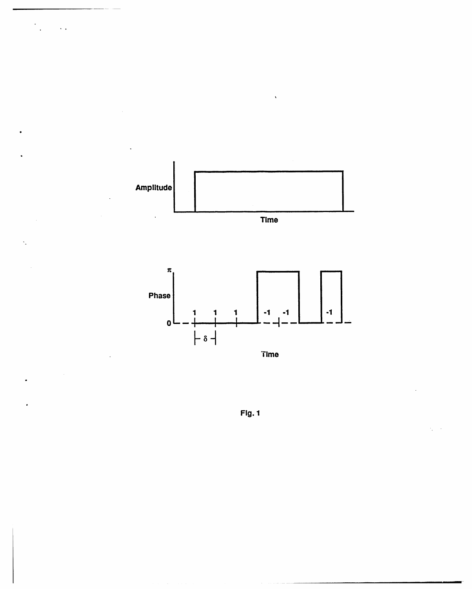

 $\ddotsc$ 

Time

**Fig. 1**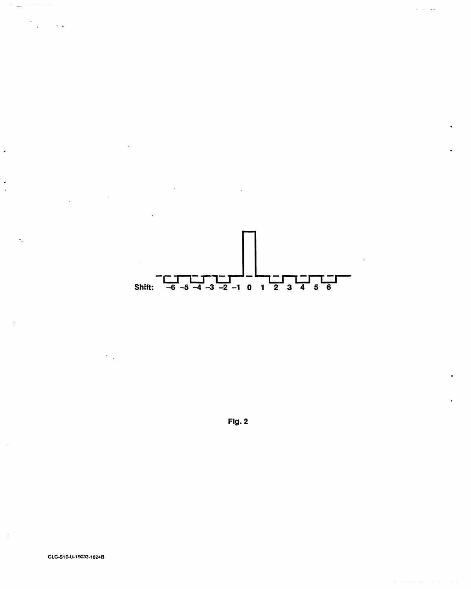

 $Fig. 2$ 

 $\ddotsc$ 

ä.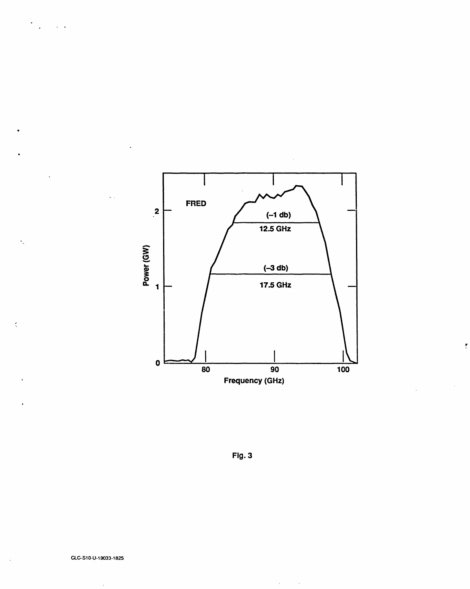

ŗ

Fig. 3

 $\alpha$  .

 $\sim$   $\sim$ 

 $\mathcal{L}$ 

 $\sim$   $\sim$ 

 $\ddot{\phantom{a}}$ 

÷.

 $\epsilon$ 

 $\bar{\omega}$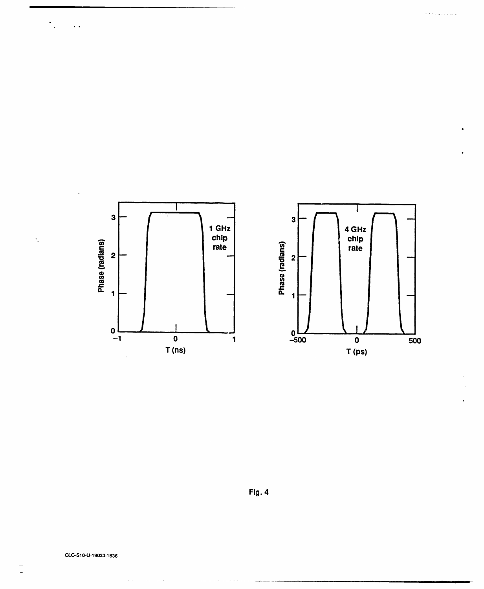

للمحافظ والمتقاع والمحاف

Fig. 4

.<br>Danim katalog

 $\ddot{\phantom{0}}$ 

 $\ddot{\cdot}$ 

 $\sim$   $\sim$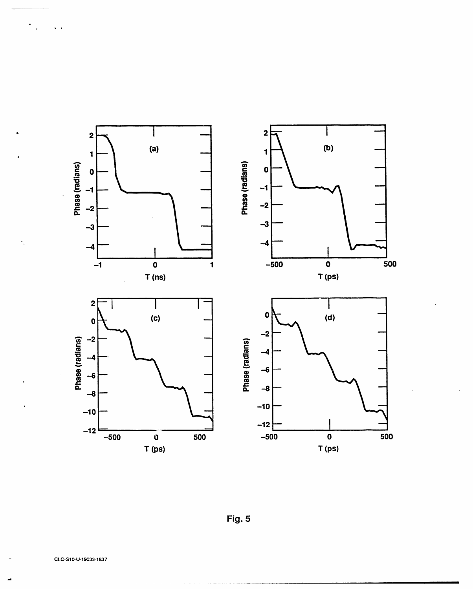

Fig. 5

 $\frac{1}{2}$  ,  $\frac{1}{2}$  ,  $\frac{1}{2}$  ,  $\frac{1}{2}$ 

 $\ddot{\cdot}$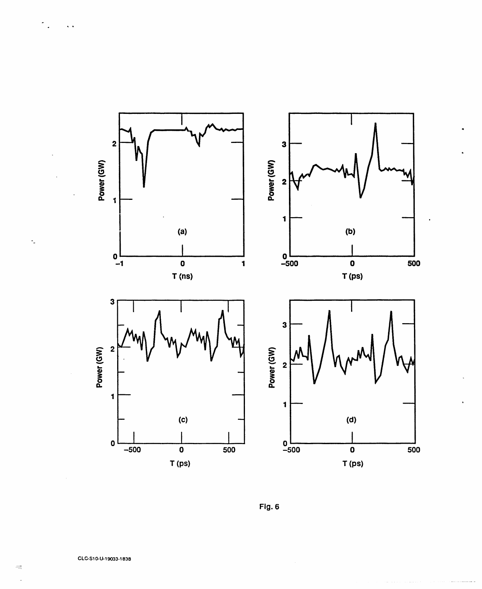



 $\sim$   $\sim$ 

 $\ddot{\phantom{a}}$ 

 $\gamma_{\rm s}$ 

 $\equiv$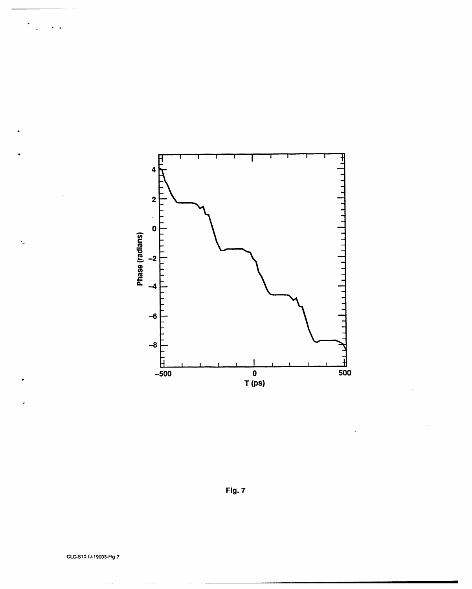

 $\bar{z}$ 

Fig. 7

 $\sqrt{2}$ 

 $\ddot{\phantom{a}}$ 

÷.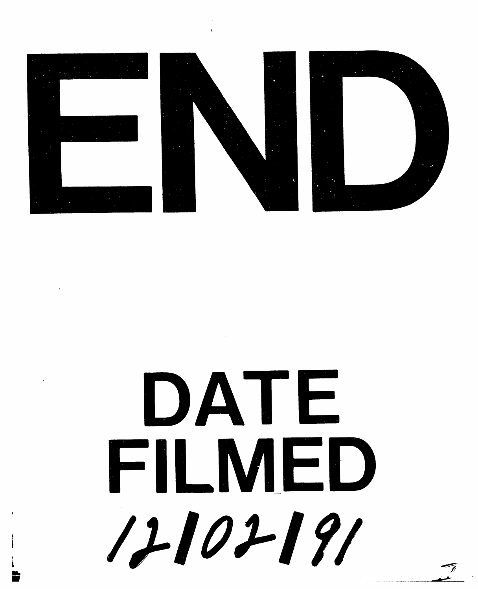



# DATE FILMED 12102191